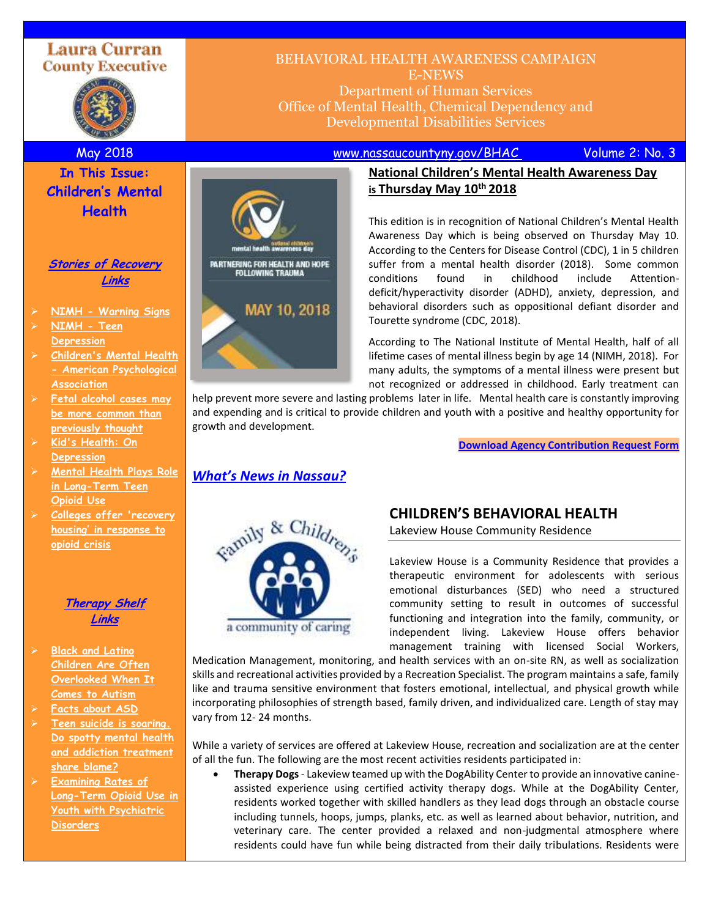# **Laura Curran County Executive**



# BEHAVIORAL HEALTH AWARENESS CAMPAIGN E-NEWS Department of Human Services Office of Mental Health, Chemical Dependency and

Developmental Disabilities Services

May 2018 [www.nassaucountyny.gov/BHAC](http://www.nassaucountyny.gov/BHAC) Volume 2: No. 3

# **In This Issue: Children's Mental Health**

### **Stories of Recovery Links**

- ➢ **NIMH - [Warning Signs](https://www.nimh.nih.gov/health/topics/child-and-adolescent-mental-health/index.shtml#part_152582)**
- ➢ **[NIMH -](https://www.nimh.nih.gov/health/publications/teen-depression/index.shtml) Teen [Depression](https://www.nimh.nih.gov/health/publications/teen-depression/index.shtml)**
- ➢ **[Children's Mental Health](http://www.apa.org/pi/families/children-mental-health.aspx)  - [American Psychological](http://www.apa.org/pi/families/children-mental-health.aspx)  [Association](http://www.apa.org/pi/families/children-mental-health.aspx)**
- ➢ **[Fetal alcohol cases may](https://www.cbsnews.com/news/fetal-alcohol-syndrome-more-common-than-previously-thought-study/?utm_source=February+16%2C+2018+Newsletter&utm_campaign=February+16%2C+2018&utm_medium=email)  [be more common than](https://www.cbsnews.com/news/fetal-alcohol-syndrome-more-common-than-previously-thought-study/?utm_source=February+16%2C+2018+Newsletter&utm_campaign=February+16%2C+2018&utm_medium=email)  [previously thought](https://www.cbsnews.com/news/fetal-alcohol-syndrome-more-common-than-previously-thought-study/?utm_source=February+16%2C+2018+Newsletter&utm_campaign=February+16%2C+2018&utm_medium=email)**
- ➢ **[Kid's Health: On](http://kidshealth.org/en/parents/understanding-depression.html)  [Depression](http://kidshealth.org/en/parents/understanding-depression.html)**
- ➢ **[Mental Health Plays Role](https://www.medpagetoday.com/pediatrics/generalpediatrics/71719?utm_source=March+15%2C+2018+Newsletter&utm_campaign=March+15%2C+2018&utm_medium=email)  [in Long-Term Teen](https://www.medpagetoday.com/pediatrics/generalpediatrics/71719?utm_source=March+15%2C+2018+Newsletter&utm_campaign=March+15%2C+2018&utm_medium=email)  [Opioid Use](https://www.medpagetoday.com/pediatrics/generalpediatrics/71719?utm_source=March+15%2C+2018+Newsletter&utm_campaign=March+15%2C+2018&utm_medium=email)**
- ➢ **[Colleges offer 'recovery](https://www.politico.com/story/2017/12/31/colleges-offer-recovery-housing-in-response-to-opioid-crisis-252291?utm_source=January+5%2C+2018+Newsletter&utm_campaign=January+5%2C+2018&utm_medium=email)  [housing' in response to](https://www.politico.com/story/2017/12/31/colleges-offer-recovery-housing-in-response-to-opioid-crisis-252291?utm_source=January+5%2C+2018+Newsletter&utm_campaign=January+5%2C+2018&utm_medium=email)  [opioid crisis](https://www.politico.com/story/2017/12/31/colleges-offer-recovery-housing-in-response-to-opioid-crisis-252291?utm_source=January+5%2C+2018+Newsletter&utm_campaign=January+5%2C+2018&utm_medium=email)**



- ➢ **[Black and Latino](https://www.npr.org/sections/health-shots/2018/03/19/587249339/black-and-latino-children-are-often-overlooked-when-it-comes-to-autism?utm_source=March+23%2C+2018+Newsletter&utm_campaign=March+23%2C+2018&utm_medium=email)  [Children Are Often](https://www.npr.org/sections/health-shots/2018/03/19/587249339/black-and-latino-children-are-often-overlooked-when-it-comes-to-autism?utm_source=March+23%2C+2018+Newsletter&utm_campaign=March+23%2C+2018&utm_medium=email)  [Overlooked When It](https://www.npr.org/sections/health-shots/2018/03/19/587249339/black-and-latino-children-are-often-overlooked-when-it-comes-to-autism?utm_source=March+23%2C+2018+Newsletter&utm_campaign=March+23%2C+2018&utm_medium=email)  [Comes to Autism](https://www.npr.org/sections/health-shots/2018/03/19/587249339/black-and-latino-children-are-often-overlooked-when-it-comes-to-autism?utm_source=March+23%2C+2018+Newsletter&utm_campaign=March+23%2C+2018&utm_medium=email)**
- ➢ **[Facts about ASD](https://www.cdc.gov/ncbddd/autism/facts.html)**
- ➢ **[Teen suicide is soaring.](https://www.usatoday.com/story/news/politics/2018/03/19/teen-suicide-soaring-do-spotty-mental-health-and-addiction-treatment-share-blame/428148002/?utm_source=March+23%2C+2018+Newsletter&utm_campaign=March+23%2C+2018&utm_medium=email)  [Do spotty mental health](https://www.usatoday.com/story/news/politics/2018/03/19/teen-suicide-soaring-do-spotty-mental-health-and-addiction-treatment-share-blame/428148002/?utm_source=March+23%2C+2018+Newsletter&utm_campaign=March+23%2C+2018&utm_medium=email)  [and addiction treatment](https://www.usatoday.com/story/news/politics/2018/03/19/teen-suicide-soaring-do-spotty-mental-health-and-addiction-treatment-share-blame/428148002/?utm_source=March+23%2C+2018+Newsletter&utm_campaign=March+23%2C+2018&utm_medium=email)  [share blame?](https://www.usatoday.com/story/news/politics/2018/03/19/teen-suicide-soaring-do-spotty-mental-health-and-addiction-treatment-share-blame/428148002/?utm_source=March+23%2C+2018+Newsletter&utm_campaign=March+23%2C+2018&utm_medium=email)**
- ➢ **[Examining Rates of](https://www.psychiatryadvisor.com/childadolescent-psychiatry/adolescents-psychiatric-disorders-rates-of-opioid-use/article/752063/?utm_source=March+23%2c+2018+Newsletter&utm_campaign=March+23%2c+2018&utm_medium=email)  [Long-Term Opioid Use in](https://www.psychiatryadvisor.com/childadolescent-psychiatry/adolescents-psychiatric-disorders-rates-of-opioid-use/article/752063/?utm_source=March+23%2c+2018+Newsletter&utm_campaign=March+23%2c+2018&utm_medium=email)  [Youth with Psychiatric](https://www.psychiatryadvisor.com/childadolescent-psychiatry/adolescents-psychiatric-disorders-rates-of-opioid-use/article/752063/?utm_source=March+23%2c+2018+Newsletter&utm_campaign=March+23%2c+2018&utm_medium=email)  [Disorders](https://www.psychiatryadvisor.com/childadolescent-psychiatry/adolescents-psychiatric-disorders-rates-of-opioid-use/article/752063/?utm_source=March+23%2c+2018+Newsletter&utm_campaign=March+23%2c+2018&utm_medium=email)**



## **National Children's Mental Health Awareness Day is Thursday May 10th 2018**

This edition is in recognition of National Children's Mental Health Awareness Day which is being observed on Thursday May 10. According to the Centers for Disease Control (CDC), 1 in 5 children suffer from a mental health disorder (2018). Some common conditions found in childhood include Attentiondeficit/hyperactivity disorder (ADHD), anxiety, depression, and behavioral disorders such as oppositional defiant disorder and Tourette syndrome (CDC, 2018).

According to The National Institute of Mental Health, half of all lifetime cases of mental illness begin by age 14 (NIMH, 2018). For many adults, the symptoms of a mental illness were present but not recognized or addressed in childhood. Early treatment can

help prevent more severe and lasting problems later in life. Mental health care is constantly improving and expending and is critical to provide children and youth with a positive and healthy opportunity for growth and development.

**[Download Agency Contribution Request Form](https://www.nassaucountyny.gov/DocumentCenter/View/18241)**

# Family & Children's

a community of caring

*What's News in Nassau?*

# **CHILDREN'S BEHAVIORAL HEALTH**

Lakeview House Community Residence

Lakeview House is a Community Residence that provides a therapeutic environment for adolescents with serious emotional disturbances (SED) who need a structured community setting to result in outcomes of successful functioning and integration into the family, community, or independent living. Lakeview House offers behavior management training with licensed Social Workers,

Medication Management, monitoring, and health services with an on-site RN, as well as socialization skills and recreational activities provided by a Recreation Specialist. The program maintains a safe, family like and trauma sensitive environment that fosters emotional, intellectual, and physical growth while incorporating philosophies of strength based, family driven, and individualized care. Length of stay may vary from 12- 24 months.

While a variety of services are offered at Lakeview House, recreation and socialization are at the center of all the fun. The following are the most recent activities residents participated in:

• **Therapy Dogs**- Lakeview teamed up with the DogAbility Center to provide an innovative canineassisted experience using certified activity therapy dogs. While at the DogAbility Center, residents worked together with skilled handlers as they lead dogs through an obstacle course including tunnels, hoops, jumps, planks, etc. as well as learned about behavior, nutrition, and veterinary care. The center provided a relaxed and non-judgmental atmosphere where residents could have fun while being distracted from their daily tribulations. Residents were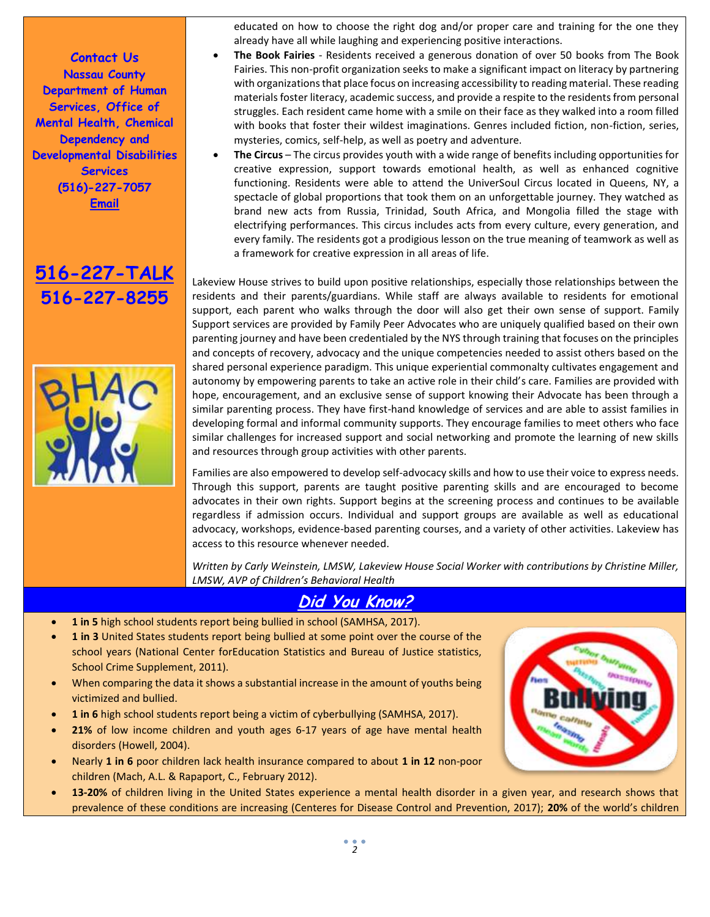**Contact Us Nassau County Department of Human Services, Office of Mental Health, Chemical Dependency and Developmental Disabilities Services (516)-227-7057 Email**





educated on how to choose the right dog and/or proper care and training for the one they already have all while laughing and experiencing positive interactions.

- **The Book Fairies** Residents received a generous donation of over 50 books from The Book Fairies. This non-profit organization seeks to make a significant impact on literacy by partnering with organizations that place focus on increasing accessibility to reading material. These reading materials foster literacy, academic success, and provide a respite to the residents from personal struggles. Each resident came home with a smile on their face as they walked into a room filled with books that foster their wildest imaginations. Genres included fiction, non-fiction, series, mysteries, comics, self-help, as well as poetry and adventure.
- **The Circus** The circus provides youth with a wide range of benefits including opportunities for creative expression, support towards emotional health, as well as enhanced cognitive functioning. Residents were able to attend the UniverSoul Circus located in Queens, NY, a spectacle of global proportions that took them on an unforgettable journey. They watched as brand new acts from Russia, Trinidad, South Africa, and Mongolia filled the stage with electrifying performances. This circus includes acts from every culture, every generation, and every family. The residents got a prodigious lesson on the true meaning of teamwork as well as a framework for creative expression in all areas of life.

Lakeview House strives to build upon positive relationships, especially those relationships between the residents and their parents/guardians. While staff are always available to residents for emotional support, each parent who walks through the door will also get their own sense of support. Family Support services are provided by Family Peer Advocates who are uniquely qualified based on their own parenting journey and have been credentialed by the NYS through training that focuses on the principles and concepts of recovery, advocacy and the unique competencies needed to assist others based on the shared personal experience paradigm. This unique experiential commonalty cultivates engagement and autonomy by empowering parents to take an active role in their child's care. Families are provided with hope, encouragement, and an exclusive sense of support knowing their Advocate has been through a similar parenting process. They have first-hand knowledge of services and are able to assist families in developing formal and informal community supports. They encourage families to meet others who face similar challenges for increased support and social networking and promote the learning of new skills and resources through group activities with other parents.

Families are also empowered to develop self-advocacy skills and how to use their voice to express needs. Through this support, parents are taught positive parenting skills and are encouraged to become advocates in their own rights. Support begins at the screening process and continues to be available regardless if admission occurs. Individual and support groups are available as well as educational advocacy, workshops, evidence-based parenting courses, and a variety of other activities. Lakeview has access to this resource whenever needed.

*Written by Carly Weinstein, LMSW, Lakeview House Social Worker with contributions by Christine Miller, LMSW, AVP of Children's Behavioral Health*

# **Did You Know?**

- **1 in 5** high school students report being bullied in school (SAMHSA, 2017).
- **1 in 3** United States students report being bullied at some point over the course of the school years (National Center forEducation Statistics and Bureau of Justice statistics, School Crime Supplement, 2011).
- When comparing the data it shows a substantial increase in the amount of youths being victimized and bullied.
- **1 in 6** high school students report being a victim of cyberbullying (SAMHSA, 2017).
- **21%** of low income children and youth ages 6-17 years of age have mental health disorders (Howell, 2004).
- Nearly **1 in 6** poor children lack health insurance compared to about **1 in 12** non-poor children (Mach, A.L. & Rapaport, C., February 2012).
- **13-20%** of children living in the United States experience a mental health disorder in a given year, and research shows that prevalence of these conditions are increasing (Centeres for Disease Control and Prevention, 2017); **20%** of the world's children

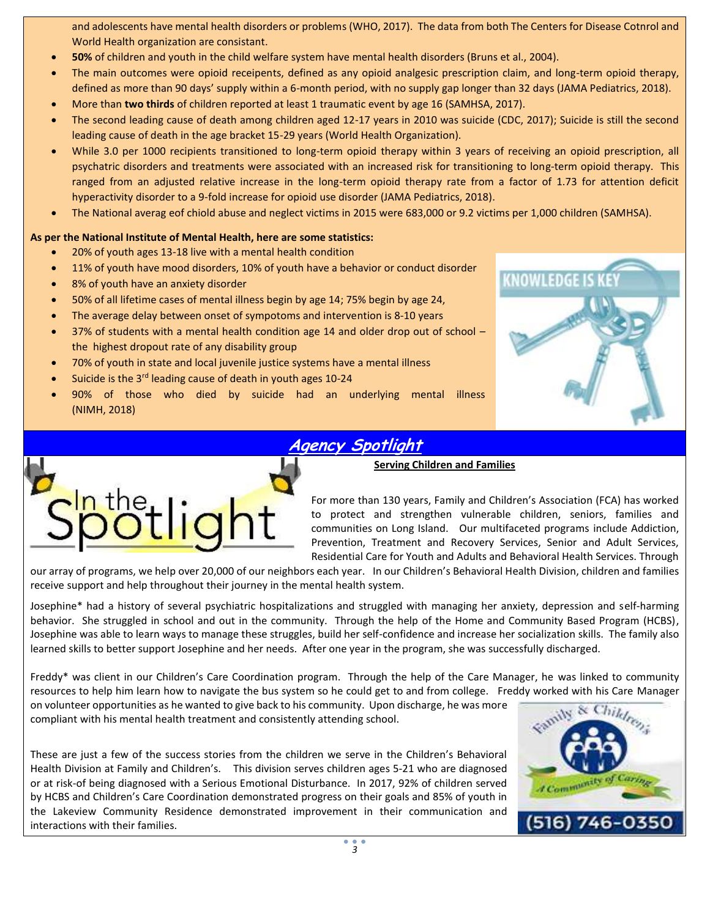and adolescents have mental health disorders or problems (WHO, 2017). The data from both The Centers for Disease Cotnrol and World Health organization are consistant.

- **50%** of children and youth in the child welfare system have mental health disorders (Bruns et al., 2004).
- The main outcomes were opioid receipents, defined as any opioid analgesic prescription claim, and long-term opioid therapy, defined as more than 90 days' supply within a 6-month period, with no supply gap longer than 32 days (JAMA Pediatrics, 2018).
- More than **two thirds** of children reported at least 1 traumatic event by age 16 (SAMHSA, 2017).
- The second leading cause of death among children aged 12-17 years in 2010 was suicide (CDC, 2017); Suicide is still the second leading cause of death in the age bracket 15-29 years (World Health Organization).
- While 3.0 per 1000 recipients transitioned to long-term opioid therapy within 3 years of receiving an opioid prescription, all psychatric disorders and treatments were associated with an increased risk for transitioning to long-term opioid therapy. This ranged from an adjusted relative increase in the long-term opioid therapy rate from a factor of 1.73 for attention deficit hyperactivity disorder to a 9-fold increase for opioid use disorder (JAMA Pediatrics, 2018).
- The National averag eof chiold abuse and neglect victims in 2015 were 683,000 or 9.2 victims per 1,000 children (SAMHSA).

### **As per the National Institute of Mental Health, here are some statistics:**

- 20% of youth ages 13-18 live with a mental health condition
- 11% of youth have mood disorders, 10% of youth have a behavior or conduct disorder
- 8% of youth have an anxiety disorder
- 50% of all lifetime cases of mental illness begin by age 14; 75% begin by age 24,
- The average delay between onset of sympotoms and intervention is 8-10 years
- 37% of students with a mental health condition age 14 and older drop out of school the highest dropout rate of any disability group
- 70% of youth in state and local juvenile justice systems have a mental illness
- Suicide is the 3<sup>rd</sup> leading cause of death in youth ages 10-24
- 90% of those who died by suicide had an underlying mental illness (NIMH, 2018)



# **Agency Spotlight**





For more than 130 years, Family and Children's Association (FCA) has worked to protect and strengthen vulnerable children, seniors, families and communities on Long Island. Our multifaceted programs include Addiction, Prevention, Treatment and Recovery Services, Senior and Adult Services, Residential Care for Youth and Adults and Behavioral Health Services. Through

our array of programs, we help over 20,000 of our neighbors each year. In our Children's Behavioral Health Division, children and families receive support and help throughout their journey in the mental health system.

Josephine\* had a history of several psychiatric hospitalizations and struggled with managing her anxiety, depression and self-harming behavior. She struggled in school and out in the community. Through the help of the Home and Community Based Program (HCBS), Josephine was able to learn ways to manage these struggles, build her self-confidence and increase her socialization skills. The family also learned skills to better support Josephine and her needs. After one year in the program, she was successfully discharged.

Freddy\* was client in our Children's Care Coordination program. Through the help of the Care Manager, he was linked to community resources to help him learn how to navigate the bus system so he could get to and from college. Freddy worked with his Care Manager

on volunteer opportunities as he wanted to give back to his community. Upon discharge, he was more compliant with his mental health treatment and consistently attending school.

These are just a few of the success stories from the children we serve in the Children's Behavioral Health Division at Family and Children's. This division serves children ages 5-21 who are diagnosed or at risk-of being diagnosed with a Serious Emotional Disturbance. In 2017, 92% of children served by HCBS and Children's Care Coordination demonstrated progress on their goals and 85% of youth in the Lakeview Community Residence demonstrated improvement in their communication and interactions with their families.

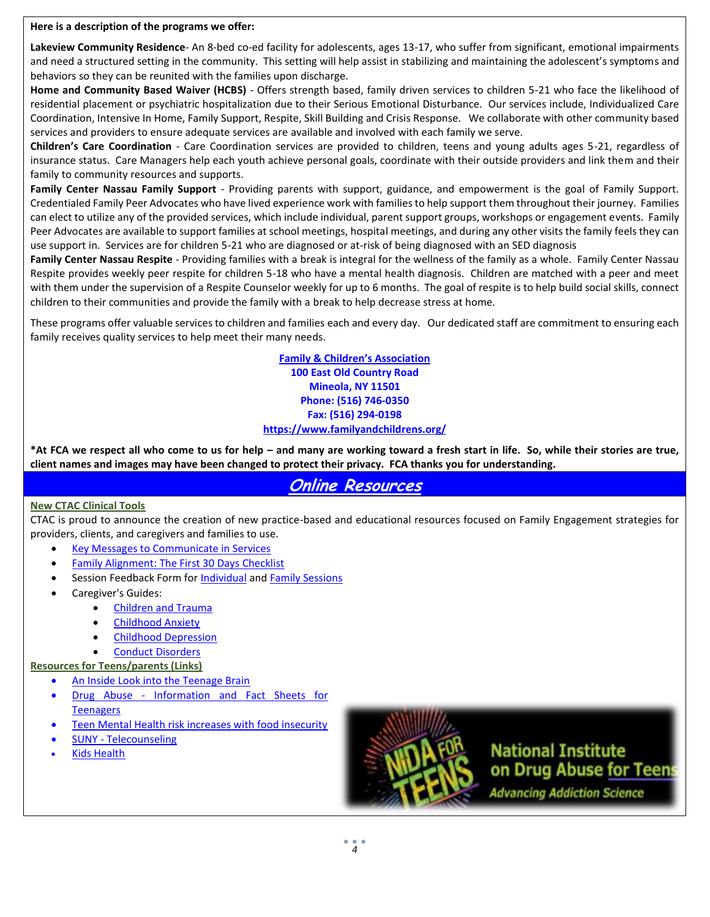**Here is a description of the programs we offer:** 

**Lakeview Community Residence**- An 8-bed co-ed facility for adolescents, ages 13-17, who suffer from significant, emotional impairments and need a structured setting in the community. This setting will help assist in stabilizing and maintaining the adolescent's symptoms and behaviors so they can be reunited with the families upon discharge.

**Home and Community Based Waiver (HCBS)** - Offers strength based, family driven services to children 5-21 who face the likelihood of residential placement or psychiatric hospitalization due to their Serious Emotional Disturbance. Our services include, Individualized Care Coordination, Intensive In Home, Family Support, Respite, Skill Building and Crisis Response. We collaborate with other community based services and providers to ensure adequate services are available and involved with each family we serve.

**Children's Care Coordination** - Care Coordination services are provided to children, teens and young adults ages 5-21, regardless of insurance status. Care Managers help each youth achieve personal goals, coordinate with their outside providers and link them and their family to community resources and supports.

**Family Center Nassau Family Support** - Providing parents with support, guidance, and empowerment is the goal of Family Support. Credentialed Family Peer Advocates who have lived experience work with families to help support them throughout their journey. Families can elect to utilize any of the provided services, which include individual, parent support groups, workshops or engagement events. Family Peer Advocates are available to support families at school meetings, hospital meetings, and during any other visits the family feels they can use support in. Services are for children 5-21 who are diagnosed or at-risk of being diagnosed with an SED diagnosis

Family Center Nassau Respite - Providing families with a break is integral for the wellness of the family as a whole. Family Center Nassau Respite provides weekly peer respite for children 5-18 who have a mental health diagnosis. Children are matched with a peer and meet with them under the supervision of a Respite Counselor weekly for up to 6 months. The goal of respite is to help build social skills, connect children to their communities and provide the family with a break to help decrease stress at home.

These programs offer valuable services to children and families each and every day. Our dedicated staff are commitment to ensuring each family receives quality services to help meet their many needs.

> **Family & Children's Association 100 East Old Country Road Mineola, NY 11501 Phone: (516) 746-0350 Fax: (516) 294-0198 <https://www.familyandchildrens.org/>**

**\*At FCA we respect all who come to us for help – and many are working toward a fresh start in life. So, while their stories are true, client names and images may have been changed to protect their privacy. FCA thanks you for understanding.** 

# **Online Resources**

### **New CTAC Clinical Tools**

CTAC is proud to announce the creation of new practice-based and educational resources focused on Family Engagement strategies for providers, clients, and caregivers and families to use.

- **[Key Messages to Communicate in Services](http://mcsilverinstituteatnyusilver.cmail20.com/t/i-l-biyiyjl-mtjkljda-y/)**
- [Family Alignment: The First 30 Days Checklist](http://mcsilverinstituteatnyusilver.cmail20.com/t/i-l-biyiyjl-mtjkljda-j/)
- Session Feedback Form for [Individual](http://mcsilverinstituteatnyusilver.cmail20.com/t/i-l-biyiyjl-mtjkljda-t/) and [Family Sessions](http://mcsilverinstituteatnyusilver.cmail20.com/t/i-l-biyiyjl-mtjkljda-i/)
- Caregiver's Guides:
	- [Children and Trauma](http://mcsilverinstituteatnyusilver.cmail20.com/t/i-l-biyiyjl-mtjkljda-d/)
	- [Childhood Anxiety](http://mcsilverinstituteatnyusilver.cmail20.com/t/i-l-biyiyjl-mtjkljda-h/)
	- [Childhood Depression](http://mcsilverinstituteatnyusilver.cmail20.com/t/i-l-biyiyjl-mtjkljda-k/)
	- [Conduct Disorders](http://mcsilverinstituteatnyusilver.cmail20.com/t/i-l-biyiyjl-mtjkljda-u/)

### **Resources for Teens/parents (Links)**

- An Inside Look into the Teenage Brain
- Drug Abuse [Information and Fact Sheets for](https://teens.drugabuse.gov/drug-facts)  **[Teenagers](https://teens.drugabuse.gov/drug-facts)**
- [Teen Mental Health risk increases with food insecurity](http://www.foxnews.com/health/2016/02/26/teen-mental-health-risk-increases-with-food-insecurity.html?utm_source=March+2%2C+2016+Newsletter&utm_campaign=March+2%2C+2016&utm_medium=email)
- SUNY [Telecounseling](https://www.timesunion.com/local/article/SUNY-considers-24-7-mental-health-telecounseling-11037978.php?utm_source=April+12%252C+2017+Newsletter&utm_campaign=April+12%252C+2017&utm_medium=email)
- [Kids Health](http://kidshealth.org/en/parents/help-cutting.html?WT.ac=p-ra)



**National Institute** on Drug Abuse for Teens **Advancing Addiction Science**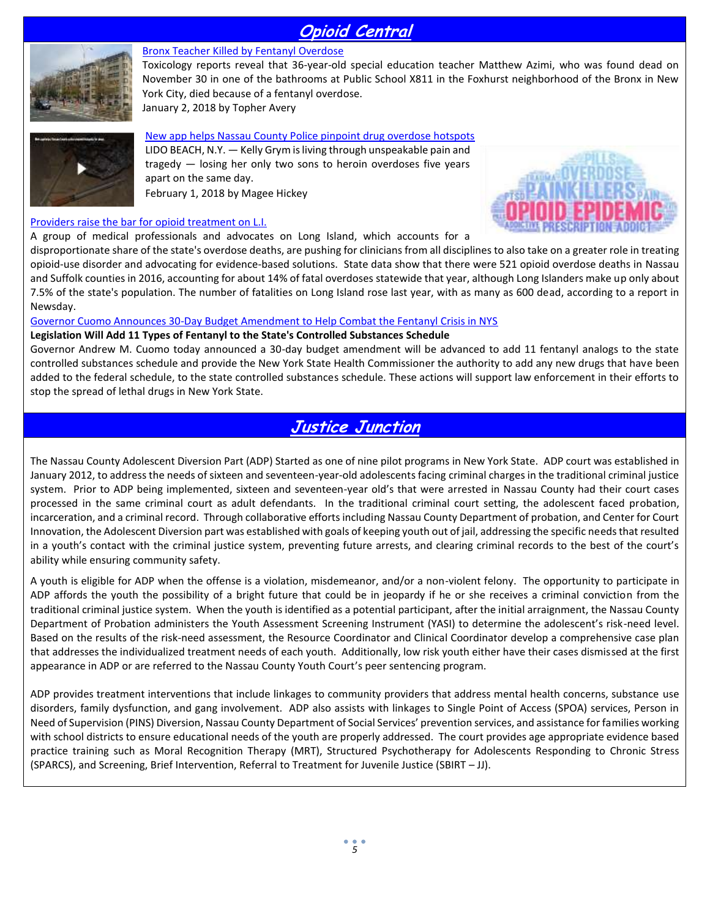# **Opioid Central**



### [Bronx Teacher Killed by Fentanyl Overdose](https://www.drugaddictionnow.com/2018/01/02/bronx-teacher-killed-by-fentanyl-overdose/)

Toxicology reports reveal that 36-year-old special education teacher Matthew Azimi, who was found dead on November 30 in one of the bathrooms at Public School X811 in the Foxhurst neighborhood of the Bronx in New York City, died because of a fentanyl overdose. January 2, 2018 by Topher Avery



[New app helps Nassau County Police pinpoint drug overdose hotspots](http://pix11.com/2018/02/01/new-app-helps-nassau-county-police-pinpoint-drug-overdose-hotspots/?utm_source=February+9%2C+2018+Newsletter&utm_campaign=February+9%2C+2018&utm_medium=email) LIDO BEACH, N.Y. — Kelly Grym is living through unspeakable pain and tragedy — losing her only two sons to heroin overdoses five years apart on the same day. February 1, 2018 by Magee Hickey

### [Providers raise the bar for opioid treatment on L.I.](http://files.constantcontact.com/741db691101/4b56ca60-c794-4d60-a608-89960f18d06e.pdf)

A group of medical professionals and advocates on Long Island, which accounts for a



disproportionate share of the state's overdose deaths, are pushing for clinicians from all disciplines to also take on a greater role in treating opioid‐use disorder and advocating for evidence‐based solutions. State data show that there were 521 opioid overdose deaths in Nassau and Suffolk counties in 2016, accounting for about 14% of fatal overdoses statewide that year, although Long Islanders make up only about 7.5% of the state's population. The number of fatalities on Long Island rose last year, with as many as 600 dead, according to a report in Newsday.

### [Governor Cuomo Announces 30-Day Budget Amendment to Help Combat the Fentanyl Crisis in NYS](https://www.governor.ny.gov/news/governor-cuomo-announces-30-day-budget-amendment-help-combat-fentanyl-crisis-new-york-state?utm_source=February+9%2C+2018+Newsletter&utm_campaign=February+9%2C+2018&utm_medium=email)

### **Legislation Will Add 11 Types of Fentanyl to the State's Controlled Substances Schedule**

Governor Andrew M. Cuomo today announced a 30-day budget amendment will be advanced to add 11 fentanyl analogs to the state controlled substances schedule and provide the New York State Health Commissioner the authority to add any new drugs that have been added to the federal schedule, to the state controlled substances schedule. These actions will support law enforcement in their efforts to stop the spread of lethal drugs in New York State.

# **Justice Junction**

The Nassau County Adolescent Diversion Part (ADP) Started as one of nine pilot programs in New York State. ADP court was established in January 2012, to address the needs of sixteen and seventeen-year-old adolescents facing criminal charges in the traditional criminal justice system. Prior to ADP being implemented, sixteen and seventeen-year old's that were arrested in Nassau County had their court cases processed in the same criminal court as adult defendants. In the traditional criminal court setting, the adolescent faced probation, incarceration, and a criminal record. Through collaborative efforts including Nassau County Department of probation, and Center for Court Innovation, the Adolescent Diversion part was established with goals of keeping youth out of jail, addressing the specific needs that resulted in a youth's contact with the criminal justice system, preventing future arrests, and clearing criminal records to the best of the court's ability while ensuring community safety.

A youth is eligible for ADP when the offense is a violation, misdemeanor, and/or a non-violent felony. The opportunity to participate in ADP affords the youth the possibility of a bright future that could be in jeopardy if he or she receives a criminal conviction from the traditional criminal justice system. When the youth is identified as a potential participant, after the initial arraignment, the Nassau County Department of Probation administers the Youth Assessment Screening Instrument (YASI) to determine the adolescent's risk-need level. Based on the results of the risk-need assessment, the Resource Coordinator and Clinical Coordinator develop a comprehensive case plan that addresses the individualized treatment needs of each youth. Additionally, low risk youth either have their cases dismissed at the first appearance in ADP or are referred to the Nassau County Youth Court's peer sentencing program.

ADP provides treatment interventions that include linkages to community providers that address mental health concerns, substance use disorders, family dysfunction, and gang involvement. ADP also assists with linkages to Single Point of Access (SPOA) services, Person in Need of Supervision (PINS) Diversion, Nassau County Department of Social Services' prevention services, and assistance for families working with school districts to ensure educational needs of the youth are properly addressed. The court provides age appropriate evidence based practice training such as Moral Recognition Therapy (MRT), Structured Psychotherapy for Adolescents Responding to Chronic Stress (SPARCS), and Screening, Brief Intervention, Referral to Treatment for Juvenile Justice (SBIRT – JJ).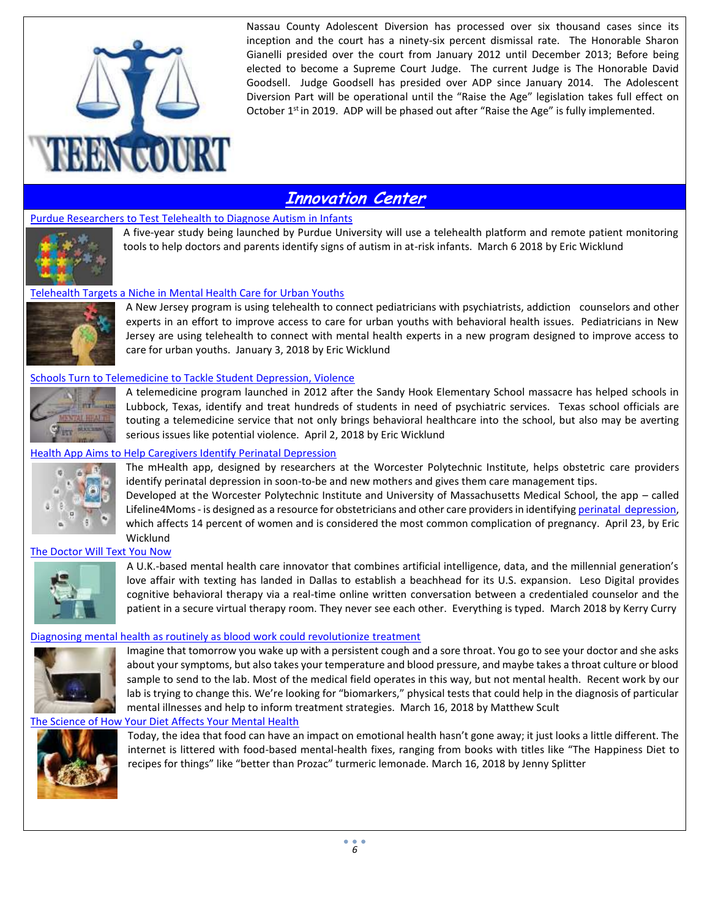

Nassau County Adolescent Diversion has processed over six thousand cases since its inception and the court has a ninety-six percent dismissal rate. The Honorable Sharon Gianelli presided over the court from January 2012 until December 2013; Before being elected to become a Supreme Court Judge. The current Judge is The Honorable David Goodsell. Judge Goodsell has presided over ADP since January 2014. The Adolescent Diversion Part will be operational until the "Raise the Age" legislation takes full effect on October  $1<sup>st</sup>$  in 2019. ADP will be phased out after "Raise the Age" is fully implemented.

# **Innovation Center**

### Purdue Researchers [to Test Telehealth to Diagnose Autism in Infants](https://mhealthintelligence.com/news/purdue-researchers-to-use-telehealth-to-diagnose-autism-in-infants?elqTrackId=1b1da00f3ee646959747bef53ad2fe87&elq=f6c6a270c7ad4ceeb434e6fd0202e45b&elqaid=4946&elqat=1&elqCampaignId=4591)



A five-year study being launched by Purdue University will use a telehealth platform and remote patient monitoring tools to help doctors and parents identify signs of autism in at-risk infants. March 6 2018 by Eric Wicklund

### [Telehealth Targets a Niche in Mental Health Care for Urban Youths](https://mhealthintelligence.com/news/telehealth-targets-a-niche-in-mental-health-care-for-urban-youths)



A New Jersey program is using telehealth to connect pediatricians with psychiatrists, addiction counselors and other experts in an effort to improve access to care for urban youths with behavioral health issues. Pediatricians in New Jersey are using telehealth to connect with mental health experts in a new program designed to improve access to care for urban youths. January 3, 2018 by Eric Wicklund

### [Schools Turn to Telemedicine to Tackle Student Depression, Violence](https://mhealthintelligence.com/news/schools-turn-to-telemedicine-to-tackle-student-depression-violence?elqTrackId=8eb6fcd9f3df497c9bb82b3c0b81291f&elq=e19d4ea469b54522b25328ed18fa301a&elqaid=5161&elqat=1&elqCampaignId=4794)



A telemedicine program launched in 2012 after the Sandy Hook Elementary School massacre has helped schools in Lubbock, Texas, identify and treat hundreds of students in need of psychiatric services. Texas school officials are touting a telemedicine service that not only brings behavioral healthcare into the school, but also may be averting serious issues like potential violence. April 2, 2018 by Eric Wicklund

### [Health App Aims to Help Caregivers Identify Perinatal Depression](https://mhealthintelligence.com/news/mhealth-app-aims-to-help-caregivers-identify-perinatal-depression?elqTrackId=ce3c53d96f2c434184bdcf634d7a5a8f&elq=a723a43d3c7442d99d6a766f83df46f9&elqaid=5367&elqat=1&elqCampaignId=4983)



The mHealth app, designed by researchers at the Worcester Polytechnic Institute, helps obstetric care providers identify perinatal depression in soon-to-be and new mothers and gives them care management tips.

Developed at the Worcester Polytechnic Institute and University of Massachusetts Medical School, the app – called Lifeline4Moms - is designed as a resource for obstetricians and other care providers in identifying [perinatal depression,](https://www.healthline.com/health/depression/perinatal-depression) which affects 14 percent of women and is considered the most common complication of pregnancy. April 23, by Eric Wicklund

### [The Doctor Will Text You Now](https://www.dmagazine.com/publications/d-ceo/2018/march/ieso-digital-health-dan-clark/?utm_source=March+15%2C+2018+Newsletter&utm_campaign=March+15%2C+2018&utm_medium=email)



A U.K.-based mental health care innovator that combines artificial intelligence, data, and the millennial generation's love affair with texting has landed in Dallas to establish a beachhead for its U.S. expansion. Leso Digital provides cognitive behavioral therapy via a real-time online written conversation between a credentialed counselor and the patient in a secure virtual therapy room. They never see each other. Everything is typed. March 2018 by Kerry Curry

### [Diagnosing mental health as routinely as blood work could revolutionize](https://qz.com/1230347/can-we-make-mental-health-diagnoses-as-routine-as-blood-work/?utm_source=March+23%2C+2018+Newsletter&utm_campaign=March+23%2C+2018&utm_medium=email) treatment



Imagine that tomorrow you wake up with a persistent cough and a sore throat. You go to see your doctor and she asks about your symptoms, but also takes your temperature and blood pressure, and maybe takes a throat culture or blood sample to send to the lab. Most of the medical field operates in this way, but not mental health. Recent work by our lab is trying to change this. We're looking for "biomarkers," physical tests that could help in the diagnosis of particular mental illnesses and help to inform treatment strategies. March 16, 2018 by Matthew Scult

### [The Science of How Your Diet Affects Your Mental Health](https://www.thecut.com/2018/03/the-science-of-how-your-diet-affects-your-mental-health.html?utm_source=March+29%2C+2018+Newsletter&utm_campaign=March+29%2C+2018&utm_medium=email)



Today, the idea that food can have an impact on emotional health hasn't gone away; it just looks a little different. The internet is littered with food-based mental-health fixes, ranging from books with titles like "The Happiness Diet to recipes for things" like "better than Prozac" turmeric lemonade. March 16, 2018 by Jenny Splitter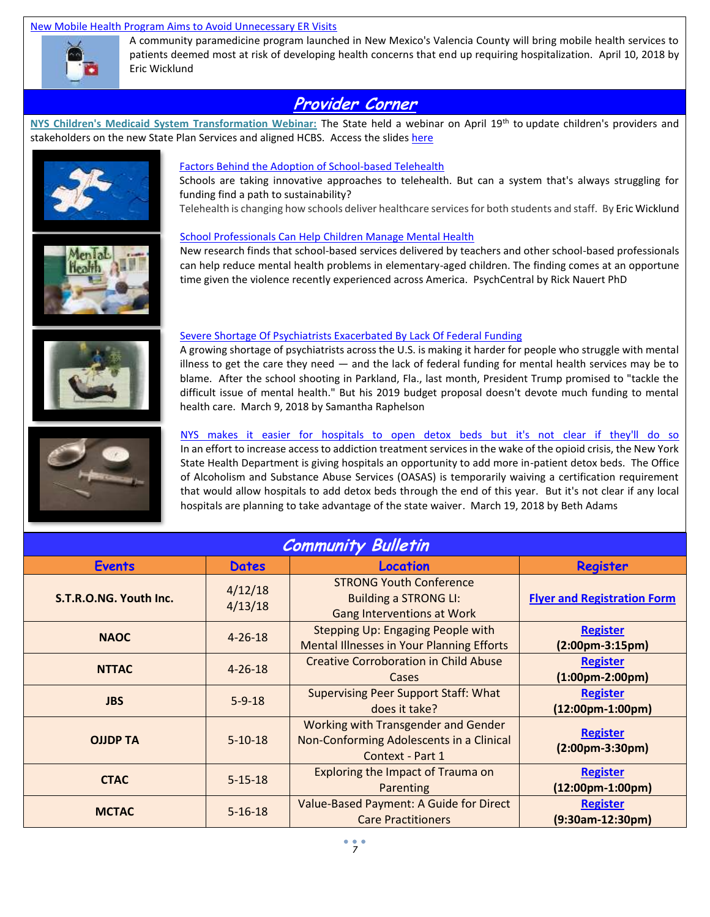### [New Mobile Health Program Aims to Avoid Unnecessary ER Visits](https://mhealthintelligence.com/news/new-mobile-health-program-aims-to-avoid-unnecessary-er-visits?elqTrackId=6a1ebbc0cab4425cbd335c4f6dd5ef9e&elq=e333286c81ff42ad9539891d26e4edd0&elqaid=5258&elqat=1&elqCampaignId=4878)



A community paramedicine program launched in New Mexico's Valencia County will bring mobile health services to patients deemed most at risk of developing health concerns that end up requiring hospitalization. April 10, 2018 by Eric Wicklund

# **Provider Corner**

**NYS Children's Medicaid System Transformation Webinar:** The State held a webinar on April 19th to update children's providers and stakeholders on the new State Plan Services and aligned HCBS. Access the slides [here](http://mcsilverinstituteatnyusilver.cmail20.com/t/i-l-biyiyjl-mtjkljda-a/)





Schools are taking innovative approaches to telehealth. But can a system that's always struggling for funding find a path to sustainability?

Telehealth is changing how schools deliver healthcare services for both students and staff. By Eric Wicklund



### [School Professionals Can Help Children Manage Mental Health](https://psychcentral.com/news/2018/03/02/school-professionals-can-help-children-manage-mental-health/133213.html?utm_source=March+9%2C+2018+Newsletter&utm_campaign=March+8%2C+2018&utm_medium=email)

New research finds that school-based services delivered by teachers and other school-based professionals can help reduce mental health problems in elementary-aged children. The finding comes at an opportune time given the violence recently experienced across America. PsychCentral by Rick Nauert PhD



# A growing shortage of psychiatrists across the U.S. is making it harder for people who struggle with mental

[Severe Shortage Of Psychiatrists Exacerbated By Lack Of Federal Funding](https://www.npr.org/2018/03/09/592333771/severe-shortage-of-psychiatrists-exacerbated-by-lack-of-federal-funding?&utm_source=March+15%2C+2018+Newsletter&utm_campaign=March+15%2C+2018&utm_medium=email)

illness to get the care they need  $-$  and the lack of federal funding for mental health services may be to blame. After the school shooting in Parkland, Fla., last month, President Trump promised to "tackle the difficult issue of mental health." But his 2019 budget proposal doesn't devote much funding to mental health care. March 9, 2018 by Samantha Raphelson



### NYS makes it easier for hospitals to open detox beds but it's not clear if they'll do so

In an effort to increase access to addiction treatment services in the wake of the opioid crisis, the New York State Health Department is giving hospitals an opportunity to add more in-patient detox beds. The Office of Alcoholism and Substance Abuse Services (OASAS) is temporarily waiving a certification requirement that would allow hospitals to add detox beds through the end of this year. But it's not clear if any local hospitals are planning to take advantage of the state waiver. March 19, 2018 by Beth Adams

| <b>Community Bulletin</b> |                    |                                                                                                     |                                                        |
|---------------------------|--------------------|-----------------------------------------------------------------------------------------------------|--------------------------------------------------------|
| <b>Events</b>             | <b>Dates</b>       | <b>Location</b>                                                                                     | Register                                               |
| S.T.R.O.NG. Youth Inc.    | 4/12/18<br>4/13/18 | <b>STRONG Youth Conference</b><br><b>Building a STRONG LI:</b><br><b>Gang Interventions at Work</b> | <b>Flyer and Registration Form</b>                     |
| <b>NAOC</b>               | $4 - 26 - 18$      | Stepping Up: Engaging People with<br><b>Mental Illnesses in Your Planning Efforts</b>               | <b>Register</b><br>$(2:00pm-3:15pm)$                   |
| <b>NTTAC</b>              | $4 - 26 - 18$      | <b>Creative Corroboration in Child Abuse</b><br><b>Cases</b>                                        | <b>Register</b><br>$(1:00 \text{pm} - 2:00 \text{pm})$ |
| <b>JBS</b>                | $5 - 9 - 18$       | <b>Supervising Peer Support Staff: What</b><br>does it take?                                        | <b>Register</b><br>$(12:00pm-1:00pm)$                  |
| <b>OJJDP TA</b>           | $5-10-18$          | Working with Transgender and Gender<br>Non-Conforming Adolescents in a Clinical<br>Context - Part 1 | <b>Register</b><br>$(2:00pm-3:30pm)$                   |
| <b>CTAC</b>               | $5 - 15 - 18$      | Exploring the Impact of Trauma on<br>Parenting                                                      | <b>Register</b><br>$(12:00pm-1:00pm)$                  |
| <b>MCTAC</b>              | $5 - 16 - 18$      | Value-Based Payment: A Guide for Direct<br><b>Care Practitioners</b>                                | <b>Register</b><br>$(9:30am-12:30pm)$                  |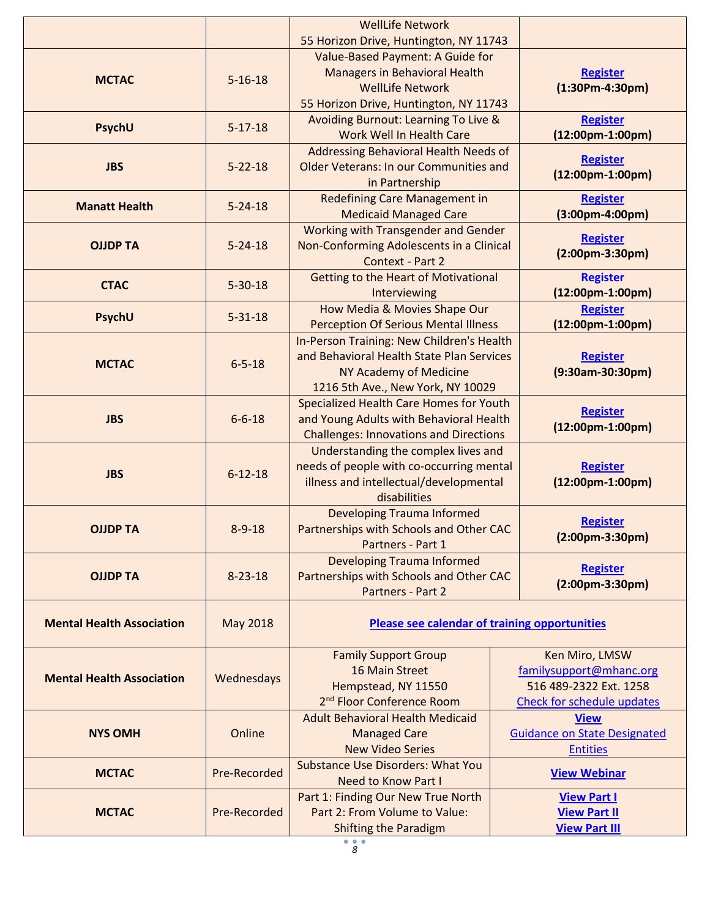|                                  |                                                         | <b>WellLife Network</b>                                                              |                                                  |  |
|----------------------------------|---------------------------------------------------------|--------------------------------------------------------------------------------------|--------------------------------------------------|--|
|                                  |                                                         | 55 Horizon Drive, Huntington, NY 11743                                               |                                                  |  |
|                                  |                                                         | Value-Based Payment: A Guide for                                                     |                                                  |  |
| <b>MCTAC</b>                     | $5 - 16 - 18$                                           | <b>Managers in Behavioral Health</b><br><b>WellLife Network</b>                      | <b>Register</b><br>$(1:30Pm-4:30pm)$             |  |
|                                  |                                                         | 55 Horizon Drive, Huntington, NY 11743                                               |                                                  |  |
|                                  |                                                         | Avoiding Burnout: Learning To Live &                                                 | <b>Register</b>                                  |  |
| PsychU                           | $5 - 17 - 18$                                           | Work Well In Health Care                                                             | $(12:00pm-1:00pm)$                               |  |
|                                  |                                                         | Addressing Behavioral Health Needs of                                                |                                                  |  |
| <b>JBS</b>                       | $5 - 22 - 18$                                           | <b>Older Veterans: In our Communities and</b>                                        | <b>Register</b>                                  |  |
|                                  |                                                         | in Partnership                                                                       | $(12:00pm-1:00pm)$                               |  |
| <b>Manatt Health</b>             | $5 - 24 - 18$                                           | <b>Redefining Care Management in</b>                                                 | <b>Register</b>                                  |  |
|                                  |                                                         | <b>Medicaid Managed Care</b>                                                         | $(3:00$ pm-4:00pm)                               |  |
|                                  |                                                         | Working with Transgender and Gender                                                  | <b>Register</b>                                  |  |
| <b>OJJDP TA</b>                  | $5 - 24 - 18$                                           | Non-Conforming Adolescents in a Clinical                                             | $(2:00pm-3:30pm)$                                |  |
|                                  |                                                         | Context - Part 2                                                                     |                                                  |  |
| <b>CTAC</b>                      | $5 - 30 - 18$                                           | <b>Getting to the Heart of Motivational</b><br>Interviewing                          | <b>Register</b><br>$(12:00pm-1:00pm)$            |  |
|                                  |                                                         | How Media & Movies Shape Our                                                         | <b>Register</b>                                  |  |
| PsychU                           | $5 - 31 - 18$                                           | <b>Perception Of Serious Mental Illness</b>                                          | $(12:00pm-1:00pm)$                               |  |
|                                  |                                                         | In-Person Training: New Children's Health                                            |                                                  |  |
| <b>MCTAC</b>                     |                                                         | and Behavioral Health State Plan Services                                            | <b>Register</b>                                  |  |
|                                  | $6 - 5 - 18$                                            | NY Academy of Medicine                                                               | (9:30am-30:30pm)                                 |  |
|                                  |                                                         | 1216 5th Ave., New York, NY 10029                                                    |                                                  |  |
|                                  | $6 - 6 - 18$                                            | Specialized Health Care Homes for Youth                                              | <b>Register</b>                                  |  |
| <b>JBS</b>                       |                                                         | and Young Adults with Behavioral Health                                              | $(12:00pm-1:00pm)$                               |  |
|                                  |                                                         | <b>Challenges: Innovations and Directions</b><br>Understanding the complex lives and |                                                  |  |
|                                  |                                                         | needs of people with co-occurring mental                                             | <b>Register</b>                                  |  |
| <b>JBS</b>                       | $6 - 12 - 18$                                           | illness and intellectual/developmental                                               | $(12:00pm-1:00pm)$                               |  |
|                                  |                                                         | disabilities                                                                         |                                                  |  |
|                                  |                                                         | <b>Developing Trauma Informed</b><br><b>Register</b>                                 |                                                  |  |
| <b>OJJDP TA</b>                  | Partnerships with Schools and Other CAC<br>$8 - 9 - 18$ |                                                                                      | $(2:00pm-3:30pm)$                                |  |
|                                  |                                                         | Partners - Part 1                                                                    |                                                  |  |
|                                  |                                                         | <b>Developing Trauma Informed</b>                                                    | <b>Register</b>                                  |  |
| <b>OJJDP TA</b>                  | $8 - 23 - 18$                                           | Partnerships with Schools and Other CAC<br>$(2:00pm-3:30pm)$<br>Partners - Part 2    |                                                  |  |
|                                  |                                                         |                                                                                      |                                                  |  |
| <b>Mental Health Association</b> | May 2018                                                | <b>Please see calendar of training opportunities</b>                                 |                                                  |  |
|                                  |                                                         |                                                                                      |                                                  |  |
|                                  | Wednesdays                                              | <b>Family Support Group</b>                                                          | Ken Miro, LMSW                                   |  |
| <b>Mental Health Association</b> |                                                         | 16 Main Street                                                                       | familysupport@mhanc.org                          |  |
|                                  |                                                         | Hempstead, NY 11550<br>2 <sup>nd</sup> Floor Conference Room                         | 516 489-2322 Ext. 1258                           |  |
|                                  |                                                         | <b>Adult Behavioral Health Medicaid</b>                                              | <b>Check for schedule updates</b><br><b>View</b> |  |
| <b>NYS OMH</b>                   | Online                                                  | <b>Managed Care</b>                                                                  | <b>Guidance on State Designated</b>              |  |
|                                  |                                                         | <b>New Video Series</b>                                                              | <b>Entities</b>                                  |  |
| <b>MCTAC</b>                     | Pre-Recorded                                            | <b>Substance Use Disorders: What You</b>                                             | <b>View Webinar</b>                              |  |
|                                  |                                                         | <b>Need to Know Part I</b>                                                           |                                                  |  |
|                                  |                                                         | Part 1: Finding Our New True North                                                   | <b>View Part I</b>                               |  |
| <b>MCTAC</b>                     | Pre-Recorded                                            | Part 2: From Volume to Value:                                                        | <b>View Part II</b>                              |  |
|                                  |                                                         | <b>Shifting the Paradigm</b>                                                         | <b>View Part III</b>                             |  |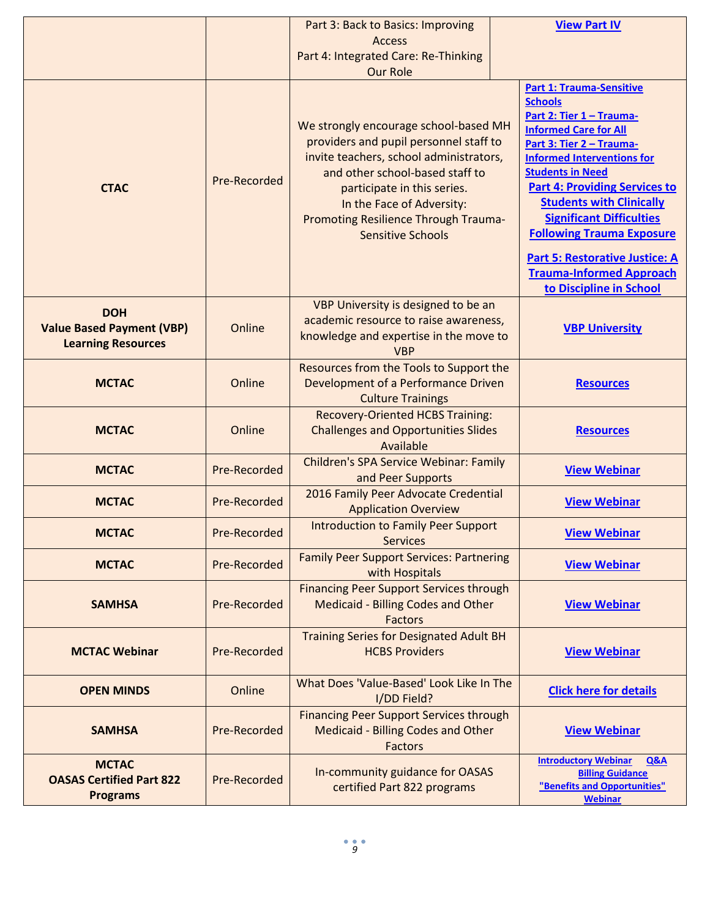|                                                                             |              | Part 3: Back to Basics: Improving                                                                                                                                                                                                                                                                                       | <b>View Part IV</b>                                                                                                                                                                                                                                                                                                                                                                                                                     |  |
|-----------------------------------------------------------------------------|--------------|-------------------------------------------------------------------------------------------------------------------------------------------------------------------------------------------------------------------------------------------------------------------------------------------------------------------------|-----------------------------------------------------------------------------------------------------------------------------------------------------------------------------------------------------------------------------------------------------------------------------------------------------------------------------------------------------------------------------------------------------------------------------------------|--|
|                                                                             |              | <b>Access</b>                                                                                                                                                                                                                                                                                                           |                                                                                                                                                                                                                                                                                                                                                                                                                                         |  |
|                                                                             |              | Part 4: Integrated Care: Re-Thinking                                                                                                                                                                                                                                                                                    |                                                                                                                                                                                                                                                                                                                                                                                                                                         |  |
| <b>CTAC</b>                                                                 | Pre-Recorded | <b>Our Role</b><br>We strongly encourage school-based MH<br>providers and pupil personnel staff to<br>invite teachers, school administrators,<br>and other school-based staff to<br>participate in this series.<br>In the Face of Adversity:<br><b>Promoting Resilience Through Trauma-</b><br><b>Sensitive Schools</b> | <b>Part 1: Trauma-Sensitive</b><br><b>Schools</b><br>Part 2: Tier 1 - Trauma-<br><b>Informed Care for All</b><br>Part 3: Tier 2 - Trauma-<br><b>Informed Interventions for</b><br><b>Students in Need</b><br><b>Part 4: Providing Services to</b><br><b>Students with Clinically</b><br><b>Significant Difficulties</b><br><b>Following Trauma Exposure</b><br><b>Part 5: Restorative Justice: A</b><br><b>Trauma-Informed Approach</b> |  |
|                                                                             |              |                                                                                                                                                                                                                                                                                                                         | to Discipline in School                                                                                                                                                                                                                                                                                                                                                                                                                 |  |
| <b>DOH</b><br><b>Value Based Payment (VBP)</b><br><b>Learning Resources</b> | Online       | VBP University is designed to be an<br>academic resource to raise awareness,<br>knowledge and expertise in the move to<br><b>VBP</b>                                                                                                                                                                                    | <b>VBP University</b>                                                                                                                                                                                                                                                                                                                                                                                                                   |  |
| <b>MCTAC</b>                                                                | Online       | Resources from the Tools to Support the<br>Development of a Performance Driven<br><b>Culture Trainings</b>                                                                                                                                                                                                              | <b>Resources</b>                                                                                                                                                                                                                                                                                                                                                                                                                        |  |
| <b>MCTAC</b>                                                                | Online       | <b>Recovery-Oriented HCBS Training:</b><br><b>Challenges and Opportunities Slides</b><br>Available                                                                                                                                                                                                                      | <b>Resources</b>                                                                                                                                                                                                                                                                                                                                                                                                                        |  |
| <b>MCTAC</b>                                                                | Pre-Recorded | <b>Children's SPA Service Webinar: Family</b><br>and Peer Supports                                                                                                                                                                                                                                                      | <b>View Webinar</b>                                                                                                                                                                                                                                                                                                                                                                                                                     |  |
| <b>MCTAC</b>                                                                | Pre-Recorded | 2016 Family Peer Advocate Credential<br><b>Application Overview</b>                                                                                                                                                                                                                                                     | <b>View Webinar</b>                                                                                                                                                                                                                                                                                                                                                                                                                     |  |
| <b>MCTAC</b>                                                                | Pre-Recorded | <b>Introduction to Family Peer Support</b><br><b>Services</b>                                                                                                                                                                                                                                                           | <b>View Webinar</b>                                                                                                                                                                                                                                                                                                                                                                                                                     |  |
| <b>MCTAC</b>                                                                | Pre-Recorded | <b>Family Peer Support Services: Partnering</b><br>with Hospitals                                                                                                                                                                                                                                                       | <b>View Webinar</b>                                                                                                                                                                                                                                                                                                                                                                                                                     |  |
| <b>SAMHSA</b>                                                               | Pre-Recorded | <b>Financing Peer Support Services through</b><br><b>Medicaid - Billing Codes and Other</b><br><b>Factors</b>                                                                                                                                                                                                           | <b>View Webinar</b>                                                                                                                                                                                                                                                                                                                                                                                                                     |  |
| <b>MCTAC Webinar</b>                                                        | Pre-Recorded | <b>Training Series for Designated Adult BH</b><br><b>HCBS Providers</b>                                                                                                                                                                                                                                                 | <b>View Webinar</b>                                                                                                                                                                                                                                                                                                                                                                                                                     |  |
| <b>OPEN MINDS</b>                                                           | Online       | What Does 'Value-Based' Look Like In The<br>I/DD Field?                                                                                                                                                                                                                                                                 | <b>Click here for details</b>                                                                                                                                                                                                                                                                                                                                                                                                           |  |
| <b>SAMHSA</b>                                                               | Pre-Recorded | <b>Financing Peer Support Services through</b><br><b>Medicaid - Billing Codes and Other</b><br><b>Factors</b>                                                                                                                                                                                                           | <b>View Webinar</b>                                                                                                                                                                                                                                                                                                                                                                                                                     |  |
| <b>MCTAC</b><br><b>OASAS Certified Part 822</b><br><b>Programs</b>          | Pre-Recorded | In-community guidance for OASAS<br>certified Part 822 programs                                                                                                                                                                                                                                                          | <b>Introductory Webinar</b><br>Q&A<br><b>Billing Guidance</b><br>"Benefits and Opportunities"<br><b>Webinar</b>                                                                                                                                                                                                                                                                                                                         |  |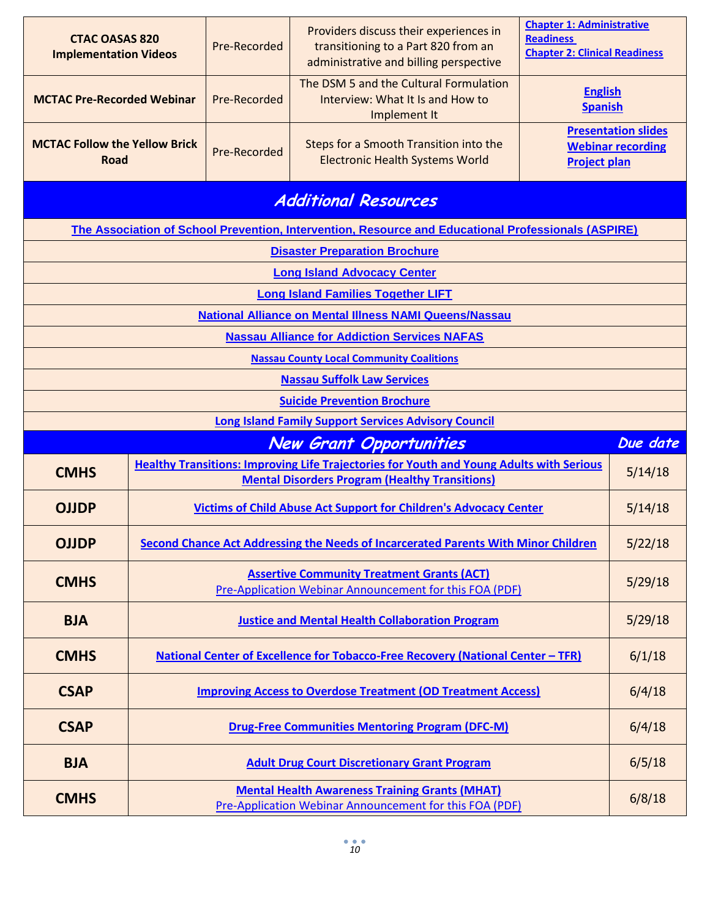| <b>CTAC OASAS 820</b><br><b>Implementation Videos</b>                                                  |                                    | Pre-Recorded | Providers discuss their experiences in<br>transitioning to a Part 820 from an<br>administrative and billing perspective                                  | <b>Chapter 1: Administrative</b><br><b>Readiness</b><br><b>Chapter 2: Clinical Readiness</b> |          |
|--------------------------------------------------------------------------------------------------------|------------------------------------|--------------|----------------------------------------------------------------------------------------------------------------------------------------------------------|----------------------------------------------------------------------------------------------|----------|
| <b>MCTAC Pre-Recorded Webinar</b>                                                                      |                                    | Pre-Recorded | The DSM 5 and the Cultural Formulation<br>Interview: What It Is and How to<br>Implement It                                                               | <b>English</b><br><b>Spanish</b>                                                             |          |
| <b>MCTAC Follow the Yellow Brick</b><br>Road                                                           |                                    | Pre-Recorded | Steps for a Smooth Transition into the<br><b>Electronic Health Systems World</b>                                                                         | <b>Presentation slides</b><br><b>Webinar recording</b><br><b>Project plan</b>                |          |
|                                                                                                        |                                    |              | <b>Additional Resources</b>                                                                                                                              |                                                                                              |          |
|                                                                                                        |                                    |              | The Association of School Prevention, Intervention, Resource and Educational Professionals (ASPIRE)                                                      |                                                                                              |          |
|                                                                                                        |                                    |              | <b>Disaster Preparation Brochure</b>                                                                                                                     |                                                                                              |          |
|                                                                                                        |                                    |              | <b>Long Island Advocacy Center</b>                                                                                                                       |                                                                                              |          |
|                                                                                                        |                                    |              | <b>Long Island Families Together LIFT</b>                                                                                                                |                                                                                              |          |
|                                                                                                        |                                    |              | <b>National Alliance on Mental Illness NAMI Queens/Nassau</b>                                                                                            |                                                                                              |          |
| <b>Nassau Alliance for Addiction Services NAFAS</b><br><b>Nassau County Local Community Coalitions</b> |                                    |              |                                                                                                                                                          |                                                                                              |          |
| <b>Nassau Suffolk Law Services</b>                                                                     |                                    |              |                                                                                                                                                          |                                                                                              |          |
|                                                                                                        | <b>Suicide Prevention Brochure</b> |              |                                                                                                                                                          |                                                                                              |          |
| <b>Long Island Family Support Services Advisory Council</b>                                            |                                    |              |                                                                                                                                                          |                                                                                              |          |
|                                                                                                        |                                    |              |                                                                                                                                                          |                                                                                              |          |
|                                                                                                        |                                    |              | <b>New Grant Opportunities</b>                                                                                                                           |                                                                                              | Due date |
| <b>CMHS</b>                                                                                            |                                    |              | <b>Healthy Transitions: Improving Life Trajectories for Youth and Young Adults with Serious</b><br><b>Mental Disorders Program (Healthy Transitions)</b> |                                                                                              | 5/14/18  |
| <b>OJJDP</b>                                                                                           |                                    |              | <b>Victims of Child Abuse Act Support for Children's Advocacy Center</b>                                                                                 |                                                                                              | 5/14/18  |
| <b>OJJDP</b>                                                                                           |                                    |              | Second Chance Act Addressing the Needs of Incarcerated Parents With Minor Children                                                                       |                                                                                              | 5/22/18  |
| <b>CMHS</b>                                                                                            |                                    |              | <b>Assertive Community Treatment Grants (ACT)</b><br>Pre-Application Webinar Announcement for this FOA (PDF)                                             |                                                                                              | 5/29/18  |
| <b>BJA</b>                                                                                             |                                    |              | <b>Justice and Mental Health Collaboration Program</b>                                                                                                   |                                                                                              | 5/29/18  |
| <b>CMHS</b>                                                                                            |                                    |              | <u>National Center of Excellence for Tobacco-Free Recovery (National Center - TFR)</u>                                                                   |                                                                                              | 6/1/18   |
| <b>CSAP</b>                                                                                            |                                    |              | <b>Improving Access to Overdose Treatment (OD Treatment Access)</b>                                                                                      |                                                                                              | 6/4/18   |
| <b>CSAP</b>                                                                                            |                                    |              | <b>Drug-Free Communities Mentoring Program (DFC-M)</b>                                                                                                   |                                                                                              | 6/4/18   |
| <b>BJA</b>                                                                                             |                                    |              | <b>Adult Drug Court Discretionary Grant Program</b>                                                                                                      |                                                                                              | 6/5/18   |